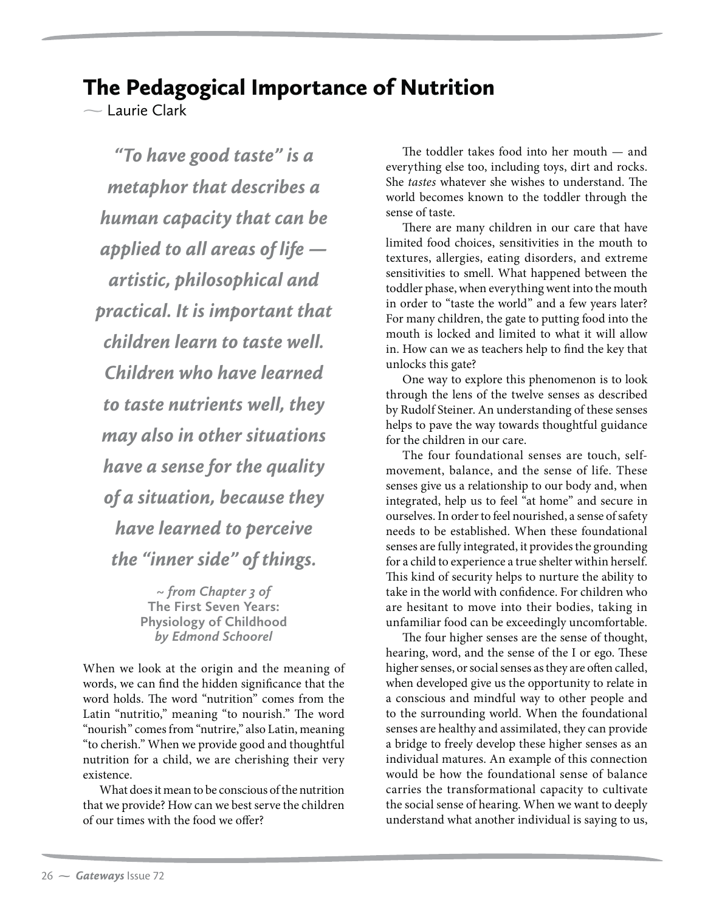## The Pedagogical Importance of Nutrition

 $\sim$  Laurie Clark

*"To have good taste" is a metaphor that describes a human capacity that can be applied to all areas of life artistic, philosophical and practical. It is important that children learn to taste well. Children who have learned to taste nutrients well, they may also in other situations have a sense for the quality of a situation, because they have learned to perceive the "inner side" of things.*

> *~ from Chapter 3 of*  **The First Seven Years: Physiology of Childhood** *by Edmond Schoorel*

When we look at the origin and the meaning of words, we can find the hidden significance that the word holds. The word "nutrition" comes from the Latin "nutritio," meaning "to nourish." The word "nourish" comes from "nutrire," also Latin, meaning "to cherish." When we provide good and thoughtful nutrition for a child, we are cherishing their very existence.

What does it mean to be conscious of the nutrition that we provide? How can we best serve the children of our times with the food we offer?

The toddler takes food into her mouth — and everything else too, including toys, dirt and rocks. She tastes whatever she wishes to understand. The world becomes known to the toddler through the sense of taste.

There are many children in our care that have limited food choices, sensitivities in the mouth to textures, allergies, eating disorders, and extreme sensitivities to smell. What happened between the toddler phase, when everything went into the mouth in order to "taste the world" and a few years later? For many children, the gate to putting food into the mouth is locked and limited to what it will allow in. How can we as teachers help to find the key that unlocks this gate?

One way to explore this phenomenon is to look through the lens of the twelve senses as described by Rudolf Steiner. An understanding of these senses helps to pave the way towards thoughtful guidance for the children in our care.

The four foundational senses are touch, selfmovement, balance, and the sense of life. These senses give us a relationship to our body and, when integrated, help us to feel "at home" and secure in ourselves. In order to feel nourished, a sense of safety needs to be established. When these foundational senses are fully integrated, it provides the grounding for a child to experience a true shelter within herself. This kind of security helps to nurture the ability to take in the world with confidence. For children who are hesitant to move into their bodies, taking in unfamiliar food can be exceedingly uncomfortable.

The four higher senses are the sense of thought, hearing, word, and the sense of the I or ego. These higher senses, or social senses as they are often called, when developed give us the opportunity to relate in a conscious and mindful way to other people and to the surrounding world. When the foundational senses are healthy and assimilated, they can provide a bridge to freely develop these higher senses as an individual matures. An example of this connection would be how the foundational sense of balance carries the transformational capacity to cultivate the social sense of hearing. When we want to deeply understand what another individual is saying to us,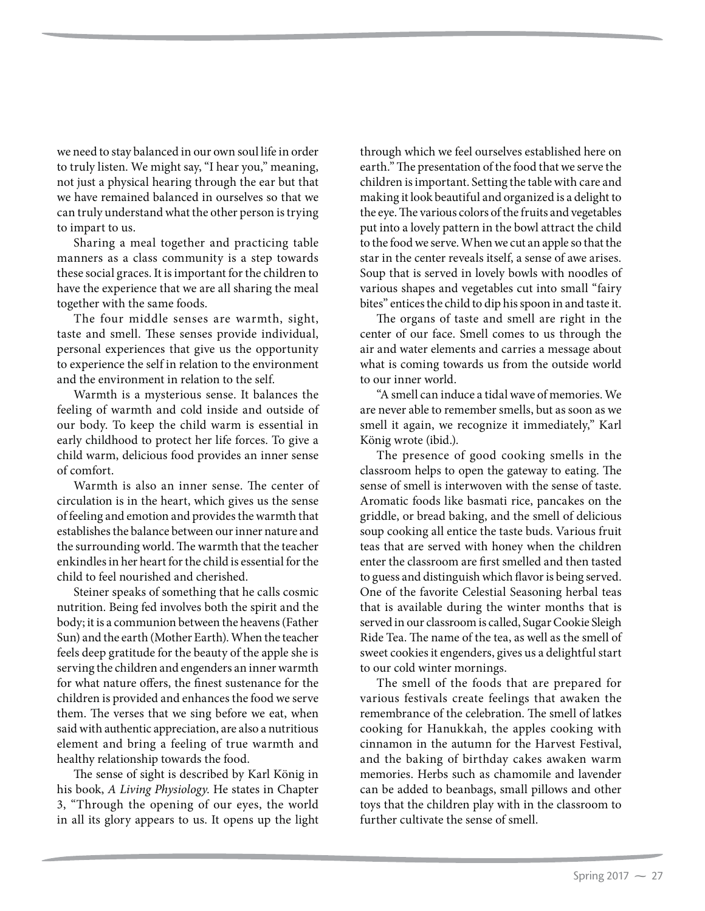we need to stay balanced in our own soul life in order to truly listen. We might say, "I hear you," meaning, not just a physical hearing through the ear but that we have remained balanced in ourselves so that we can truly understand what the other person is trying to impart to us.

Sharing a meal together and practicing table manners as a class community is a step towards these social graces. It is important for the children to have the experience that we are all sharing the meal together with the same foods.

The four middle senses are warmth, sight, taste and smell. These senses provide individual, personal experiences that give us the opportunity to experience the self in relation to the environment and the environment in relation to the self.

Warmth is a mysterious sense. It balances the feeling of warmth and cold inside and outside of our body. To keep the child warm is essential in early childhood to protect her life forces. To give a child warm, delicious food provides an inner sense of comfort.

Warmth is also an inner sense. The center of circulation is in the heart, which gives us the sense of feeling and emotion and provides the warmth that establishes the balance between our inner nature and the surrounding world. The warmth that the teacher enkindles in her heart for the child is essential for the child to feel nourished and cherished.

Steiner speaks of something that he calls cosmic nutrition. Being fed involves both the spirit and the body; it is a communion between the heavens (Father Sun) and the earth (Mother Earth). When the teacher feels deep gratitude for the beauty of the apple she is serving the children and engenders an inner warmth for what nature offers, the finest sustenance for the children is provided and enhances the food we serve them. The verses that we sing before we eat, when said with authentic appreciation, are also a nutritious element and bring a feeling of true warmth and healthy relationship towards the food.

The sense of sight is described by Karl König in his book, A Living Physiology. He states in Chapter 3, "Through the opening of our eyes, the world in all its glory appears to us. It opens up the light

through which we feel ourselves established here on earth." The presentation of the food that we serve the children is important. Setting the table with care and making it look beautiful and organized is a delight to the eye. The various colors of the fruits and vegetables put into a lovely pattern in the bowl attract the child to the food we serve. When we cut an apple so that the star in the center reveals itself, a sense of awe arises. Soup that is served in lovely bowls with noodles of various shapes and vegetables cut into small "fairy bites" entices the child to dip his spoon in and taste it.

The organs of taste and smell are right in the center of our face. Smell comes to us through the air and water elements and carries a message about what is coming towards us from the outside world to our inner world.

"A smell can induce a tidal wave of memories. We are never able to remember smells, but as soon as we smell it again, we recognize it immediately," Karl König wrote (ibid.).

The presence of good cooking smells in the classroom helps to open the gateway to eating. The sense of smell is interwoven with the sense of taste. Aromatic foods like basmati rice, pancakes on the griddle, or bread baking, and the smell of delicious soup cooking all entice the taste buds. Various fruit teas that are served with honey when the children enter the classroom are first smelled and then tasted to guess and distinguish which flavor is being served. One of the favorite Celestial Seasoning herbal teas that is available during the winter months that is served in our classroom is called, Sugar Cookie Sleigh Ride Tea. The name of the tea, as well as the smell of sweet cookies it engenders, gives us a delightful start to our cold winter mornings.

The smell of the foods that are prepared for various festivals create feelings that awaken the remembrance of the celebration. The smell of latkes cooking for Hanukkah, the apples cooking with cinnamon in the autumn for the Harvest Festival, and the baking of birthday cakes awaken warm memories. Herbs such as chamomile and lavender can be added to beanbags, small pillows and other toys that the children play with in the classroom to further cultivate the sense of smell.